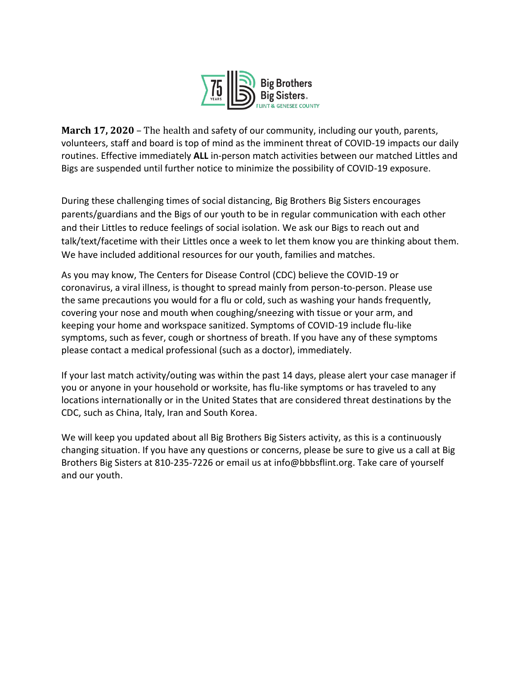

**March 17, 2020** – The health and safety of our community, including our youth, parents, volunteers, staff and board is top of mind as the imminent threat of COVID-19 impacts our daily routines. Effective immediately **ALL** in-person match activities between our matched Littles and Bigs are suspended until further notice to minimize the possibility of COVID-19 exposure.

During these challenging times of social distancing, Big Brothers Big Sisters encourages parents/guardians and the Bigs of our youth to be in regular communication with each other and their Littles to reduce feelings of social isolation. We ask our Bigs to reach out and talk/text/facetime with their Littles once a week to let them know you are thinking about them. We have included additional resources for our youth, families and matches.

As you may know, The Centers for Disease Control (CDC) believe the COVID-19 or coronavirus, a viral illness, is thought to spread mainly from person-to-person. Please use the same precautions you would for a flu or cold, such as washing your hands frequently, covering your nose and mouth when coughing/sneezing with tissue or your arm, and keeping your home and workspace sanitized. Symptoms of COVID-19 include flu-like symptoms, such as fever, cough or shortness of breath. If you have any of these symptoms please contact a medical professional (such as a doctor), immediately.

If your last match activity/outing was within the past 14 days, please alert your case manager if you or anyone in your household or worksite, has flu-like symptoms or has traveled to any locations internationally or in the United States that are considered threat destinations by the CDC, such as China, Italy, Iran and South Korea.

We will keep you updated about all Big Brothers Big Sisters activity, as this is a continuously changing situation. If you have any questions or concerns, please be sure to give us a call at Big Brothers Big Sisters at 810-235-7226 or email us at info@bbbsflint.org. Take care of yourself and our youth.